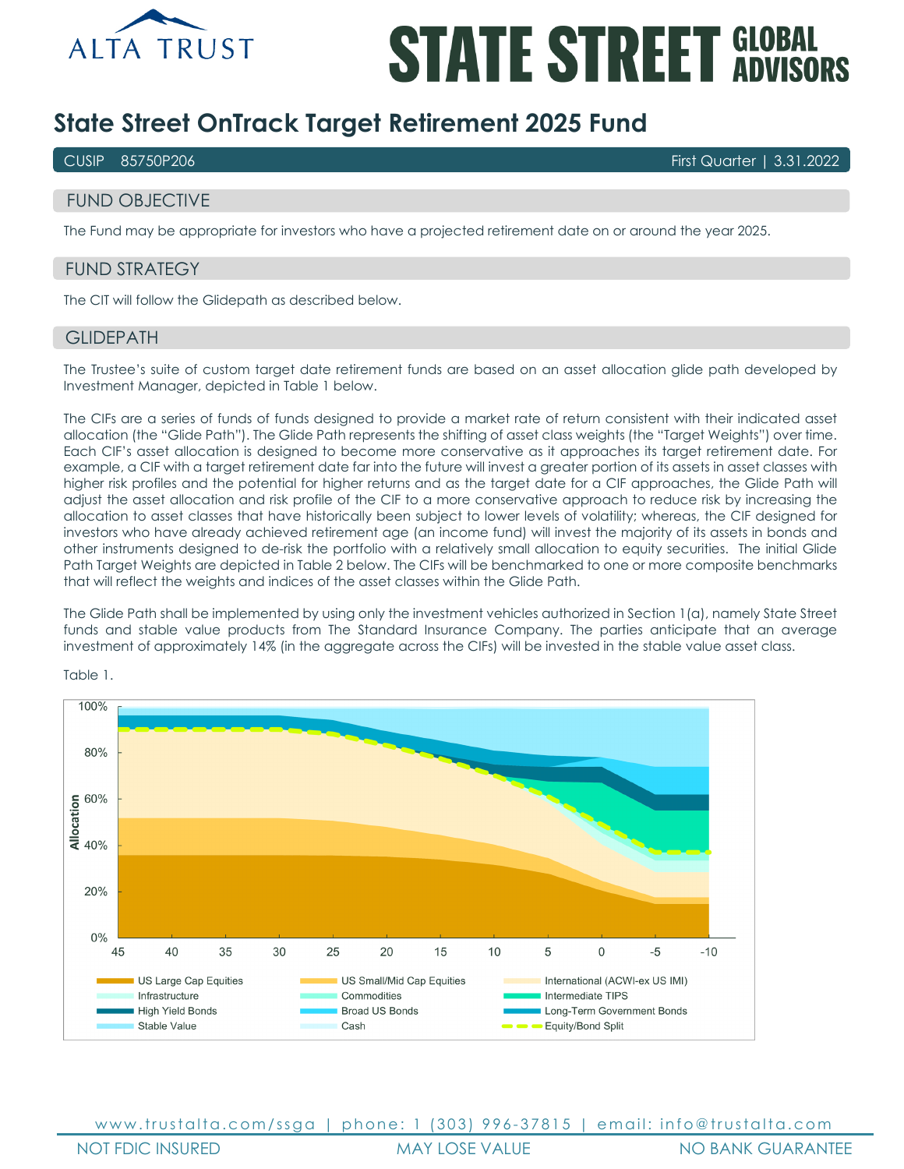

# **STATE STREET GLOBAL**

## **State Street OnTrack Target Retirement 2025 Fund**

CUSIP 85750P206 First Quarter | 3.31.2022

## FUND OBJECTIVE

The Fund may be appropriate for investors who have a projected retirement date on or around the year 2025.

## FUND STRATEGY

The CIT will follow the Glidepath as described below.

#### **GLIDEPATH**

The Trustee's suite of custom target date retirement funds are based on an asset allocation glide path developed by Investment Manager, depicted in Table 1 below.

The CIFs are a series of funds of funds designed to provide a market rate of return consistent with their indicated asset allocation (the "Glide Path"). The Glide Path represents the shifting of asset class weights (the "Target Weights") over time. Each CIF's asset allocation is designed to become more conservative as it approaches its target retirement date. For example, a CIF with a target retirement date far into the future will invest a greater portion of its assets in asset classes with higher risk profiles and the potential for higher returns and as the target date for a CIF approaches, the Glide Path will adjust the asset allocation and risk profile of the CIF to a more conservative approach to reduce risk by increasing the allocation to asset classes that have historically been subject to lower levels of volatility; whereas, the CIF designed for investors who have already achieved retirement age (an income fund) will invest the majority of its assets in bonds and other instruments designed to de-risk the portfolio with a relatively small allocation to equity securities. The initial Glide Path Target Weights are depicted in Table 2 below. The CIFs will be benchmarked to one or more composite benchmarks that will reflect the weights and indices of the asset classes within the Glide Path.

The Glide Path shall be implemented by using only the investment vehicles authorized in Section 1(a), namely State Street funds and stable value products from The Standard Insurance Company. The parties anticipate that an average investment of approximately 14% (in the aggregate across the CIFs) will be invested in the stable value asset class.



Table 1.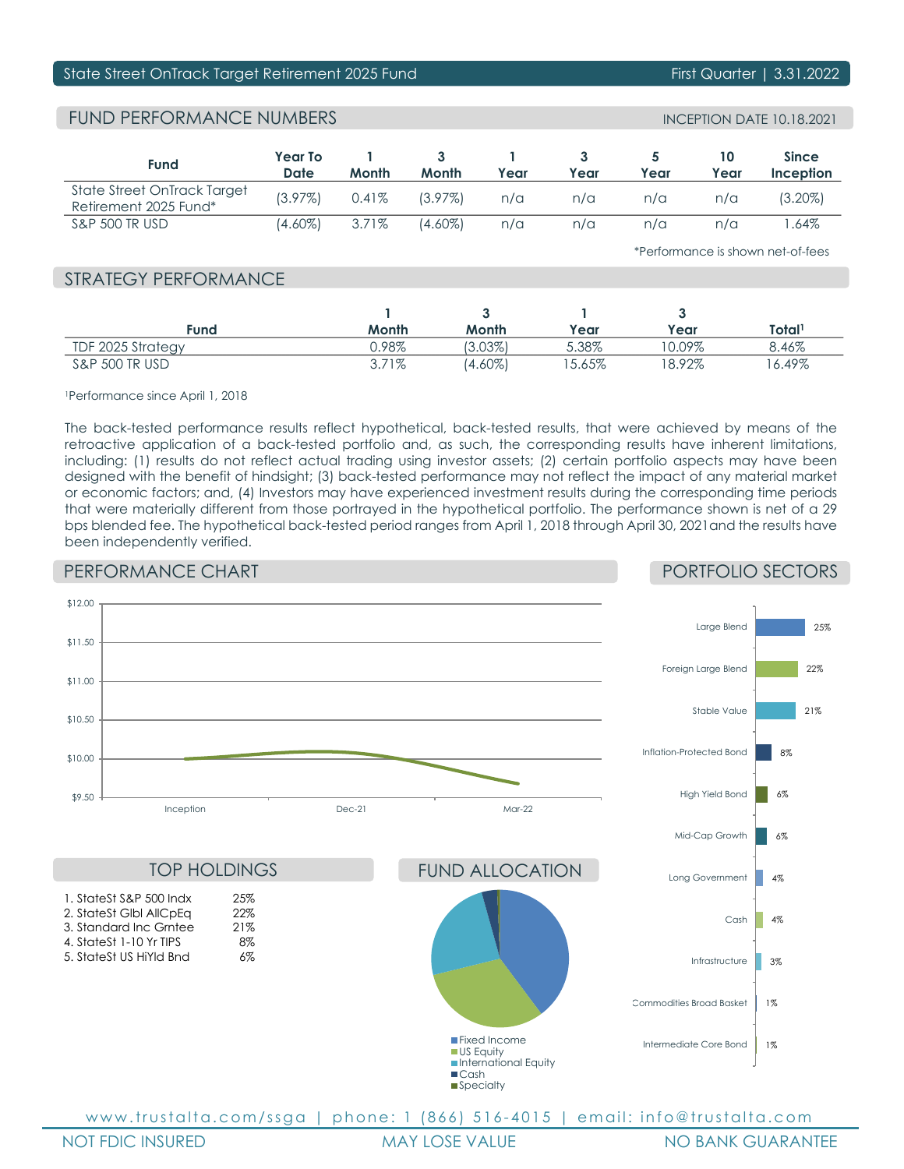## State Street OnTrack Target Retirement 2025 Fund First Quarter | 3.31.2022

## FUND PERFORMANCE NUMBERS

| <b>Fund</b>                                          | Year To<br>Date | Month    | Month      | Year | Year | Year | Year | <b>Since</b><br>Inception |
|------------------------------------------------------|-----------------|----------|------------|------|------|------|------|---------------------------|
| State Street OnTrack Target<br>Retirement 2025 Fund* | $(3.97\%)$      | $0.41\%$ | $(3.97\%)$ | n/a  | n/a  | n/a  | n/a  | (3.20%)                   |
| <b>S&amp;P 500 TR USD</b>                            | (4.60%)         | 3.71%    | (4.60%)    | n/a  | n/a  | n/a  | n/a  | .64%                      |

\*Performance is shown net-of-fees

## STRATEGY PERFORMANCE

| Fund                      | Month | Month      | Year  | Year     | Total <sup>1</sup> |
|---------------------------|-------|------------|-------|----------|--------------------|
| TDF 2025 Strategy         | J.98% | $3.03\%$   | 5.38% | $0.09\%$ | 8.46%              |
| <b>S&amp;P 500 TR USD</b> | 3.71% | $(4.60\%)$ | 5.65% | 8.92%    | $6.49\%$           |

1Performance since April 1, 2018

The back-tested performance results reflect hypothetical, back-tested results, that were achieved by means of the retroactive application of a back-tested portfolio and, as such, the corresponding results have inherent limitations, including: (1) results do not reflect actual trading using investor assets; (2) certain portfolio aspects may have been designed with the benefit of hindsight; (3) back-tested performance may not reflect the impact of any material market or economic factors; and, (4) Investors may have experienced investment results during the corresponding time periods that were materially different from those portrayed in the hypothetical portfolio. The performance shown is net of a 29 bps blended fee. The hypothetical back-tested period ranges from April 1, 2018 through April 30, 2021and the results have been independently verified.

## PERFORMANCE CHART

## PORTFOLIO SECTORS



www.trustalta.com/ssga | phone: 1 (866) 516-4015 | email: info@trustalta.com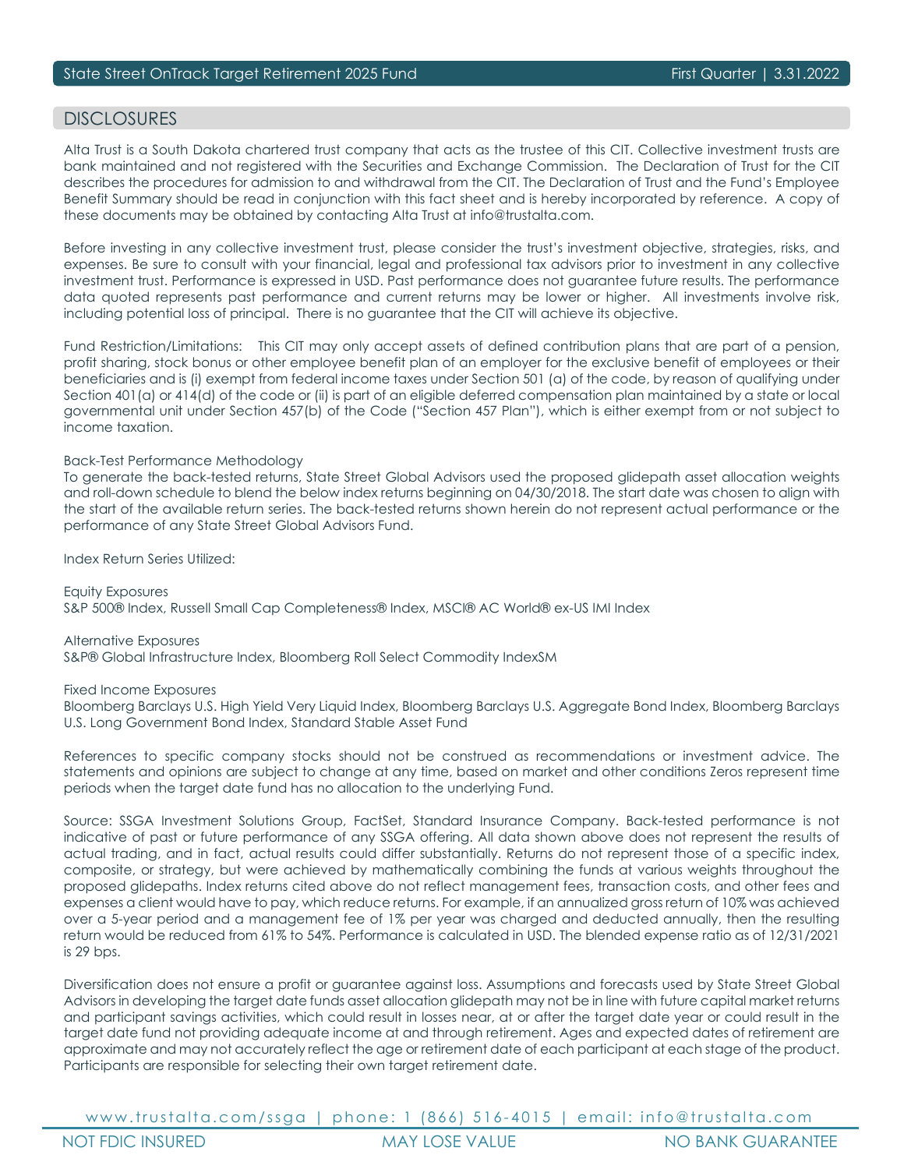## DISCI OSURES

Alta Trust is a South Dakota chartered trust company that acts as the trustee of this CIT. Collective investment trusts are bank maintained and not registered with the Securities and Exchange Commission. The Declaration of Trust for the CIT describes the procedures for admission to and withdrawal from the CIT. The Declaration of Trust and the Fund's Employee Benefit Summary should be read in conjunction with this fact sheet and is hereby incorporated by reference. A copy of these documents may be obtained by contacting Alta Trust at info@trustalta.com.

Before investing in any collective investment trust, please consider the trust's investment objective, strategies, risks, and expenses. Be sure to consult with your financial, legal and professional tax advisors prior to investment in any collective investment trust. Performance is expressed in USD. Past performance does not guarantee future results. The performance data quoted represents past performance and current returns may be lower or higher. All investments involve risk, including potential loss of principal. There is no guarantee that the CIT will achieve its objective.

Fund Restriction/Limitations: This CIT may only accept assets of defined contribution plans that are part of a pension, profit sharing, stock bonus or other employee benefit plan of an employer for the exclusive benefit of employees or their beneficiaries and is (i) exempt from federal income taxes under Section 501 (a) of the code, by reason of qualifying under Section 401(a) or 414(d) of the code or (ii) is part of an eligible deferred compensation plan maintained by a state or local governmental unit under Section 457(b) of the Code ("Section 457 Plan"), which is either exempt from or not subject to income taxation.

#### Back-Test Performance Methodology

To generate the back-tested returns, State Street Global Advisors used the proposed glidepath asset allocation weights and roll-down schedule to blend the below index returns beginning on 04/30/2018. The start date was chosen to align with the start of the available return series. The back-tested returns shown herein do not represent actual performance or the performance of any State Street Global Advisors Fund.

Index Return Series Utilized:

Equity Exposures S&P 500® Index, Russell Small Cap Completeness® Index, MSCI® AC World® ex-US IMI Index

Alternative Exposures S&P® Global Infrastructure Index, Bloomberg Roll Select Commodity IndexSM

Fixed Income Exposures

Bloomberg Barclays U.S. High Yield Very Liquid Index, Bloomberg Barclays U.S. Aggregate Bond Index, Bloomberg Barclays U.S. Long Government Bond Index, Standard Stable Asset Fund

References to specific company stocks should not be construed as recommendations or investment advice. The statements and opinions are subject to change at any time, based on market and other conditions Zeros represent time periods when the target date fund has no allocation to the underlying Fund.

Source: SSGA Investment Solutions Group, FactSet, Standard Insurance Company. Back-tested performance is not indicative of past or future performance of any SSGA offering. All data shown above does not represent the results of actual trading, and in fact, actual results could differ substantially. Returns do not represent those of a specific index, composite, or strategy, but were achieved by mathematically combining the funds at various weights throughout the proposed glidepaths. Index returns cited above do not reflect management fees, transaction costs, and other fees and expenses a client would have to pay, which reduce returns. For example, if an annualized gross return of 10% was achieved over a 5-year period and a management fee of 1% per year was charged and deducted annually, then the resulting return would be reduced from 61% to 54%. Performance is calculated in USD. The blended expense ratio as of 12/31/2021 is 29 bps.

Diversification does not ensure a profit or guarantee against loss. Assumptions and forecasts used by State Street Global Advisors in developing the target date funds asset allocation glidepath may not be in line with future capital market returns and participant savings activities, which could result in losses near, at or after the target date year or could result in the target date fund not providing adequate income at and through retirement. Ages and expected dates of retirement are approximate and may not accurately reflect the age or retirement date of each participant at each stage of the product. Participants are responsible for selecting their own target retirement date.

www.trustalta.com/ssga | phone: 1 (866) 516-4015 | email: info@trustalta.com